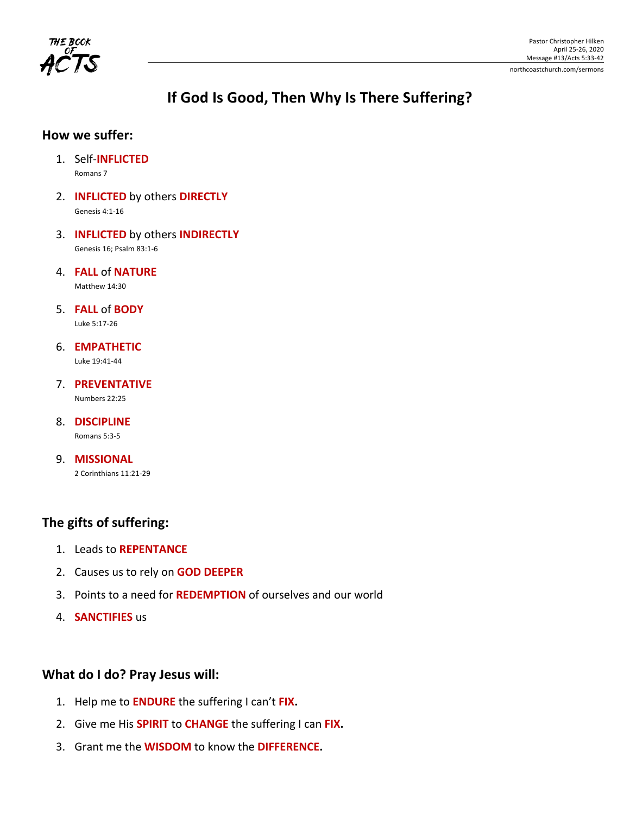

# **If God Is Good, Then Why Is There Suffering?**

### **How we suffer:**

- 1. Self-**INFLICTED** Romans 7
- 2. **INFLICTED** by others **DIRECTLY** Genesis 4:1-16
- 3. **INFLICTED** by others **INDIRECTLY** Genesis 16; Psalm 83:1-6
- 4. **FALL** of **NATURE** Matthew 14:30
- 5. **FALL** of **BODY** Luke 5:17-26
- 6. **EMPATHETIC** Luke 19:41-44
- 7. **PREVENTATIVE** Numbers 22:25
- 8. **DISCIPLINE** Romans 5:3-5
- 9. **MISSIONAL**

2 Corinthians 11:21-29

# **The gifts of suffering:**

- 1. Leads to **REPENTANCE**
- 2. Causes us to rely on **GOD DEEPER**
- 3. Points to a need for **REDEMPTION** of ourselves and our world
- 4. **SANCTIFIES** us

### **What do I do? Pray Jesus will:**

- 1. Help me to **ENDURE** the suffering I can't FIX.
- 2. Give me His **SPIRIT** to **CHANGE** the suffering I can FIX.
- 3. Grant me the **WISDOM** to know the DIFFERENCE.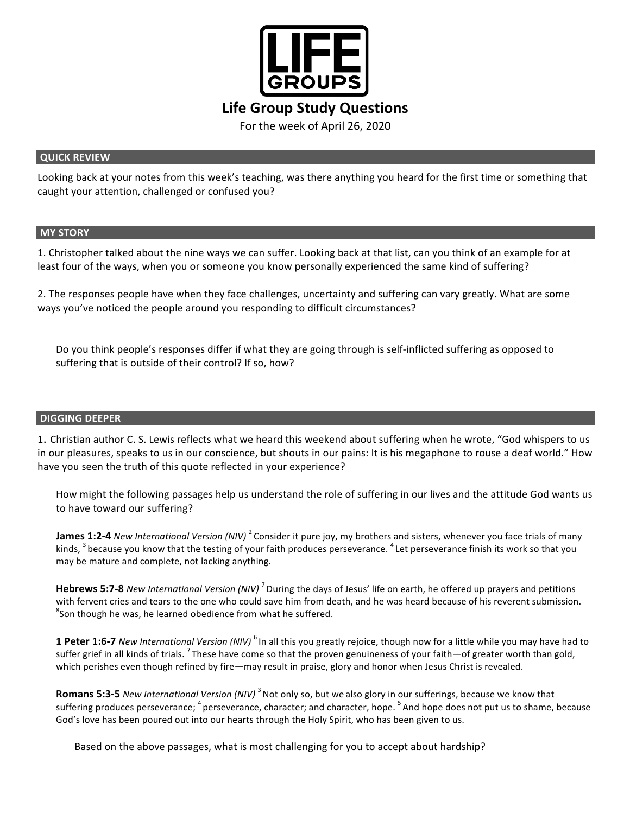

# **Life Group Study Questions**

For the week of April 26, 2020

#### **QUICK REVIEW**

Looking back at your notes from this week's teaching, was there anything you heard for the first time or something that caught your attention, challenged or confused you?

#### **MY STORY**

1. Christopher talked about the nine ways we can suffer. Looking back at that list, can you think of an example for at least four of the ways, when you or someone you know personally experienced the same kind of suffering?

2. The responses people have when they face challenges, uncertainty and suffering can vary greatly. What are some ways you've noticed the people around you responding to difficult circumstances?

Do you think people's responses differ if what they are going through is self-inflicted suffering as opposed to suffering that is outside of their control? If so, how?

#### **DIGGING DEEPER**

1. Christian author C. S. Lewis reflects what we heard this weekend about suffering when he wrote, "God whispers to us in our pleasures, speaks to us in our conscience, but shouts in our pains: It is his megaphone to rouse a deaf world." How have you seen the truth of this quote reflected in your experience?

How might the following passages help us understand the role of suffering in our lives and the attitude God wants us to have toward our suffering?

**James 1:2-4** New International Version (NIV)<sup>2</sup> Consider it pure joy, my brothers and sisters, whenever you face trials of many kinds,  $^3$  because you know that the testing of your faith produces perseverance.  $^4$  Let perseverance finish its work so that you may be mature and complete, not lacking anything.

**Hebrews 5:7-8** New International Version (NIV)<sup>7</sup> During the days of Jesus' life on earth, he offered up prayers and petitions with fervent cries and tears to the one who could save him from death, and he was heard because of his reverent submission.  $\degree$ Son though he was, he learned obedience from what he suffered.

1 Peter 1:6-7 New International Version (NIV)<sup>6</sup> In all this you greatly rejoice, though now for a little while you may have had to suffer grief in all kinds of trials. <sup>7</sup> These have come so that the proven genuineness of your faith—of greater worth than gold, which perishes even though refined by fire—may result in praise, glory and honor when Jesus Christ is revealed.

**Romans 5:3-5** New International Version (NIV)<sup>3</sup> Not only so, but we also glory in our sufferings, because we know that suffering produces perseverance; <sup>4</sup> perseverance, character; and character, hope. <sup>5</sup> And hope does not put us to shame, because God's love has been poured out into our hearts through the Holy Spirit, who has been given to us.

Based on the above passages, what is most challenging for you to accept about hardship?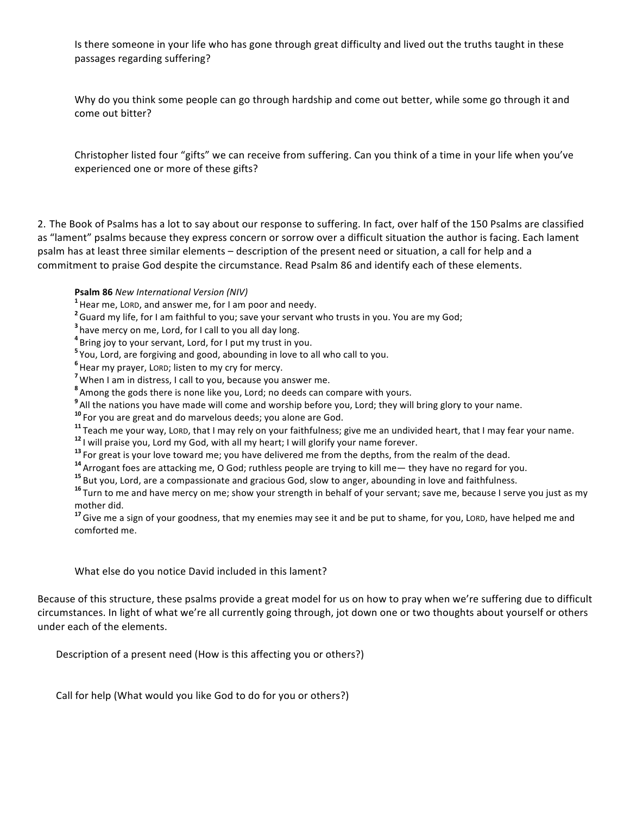Is there someone in your life who has gone through great difficulty and lived out the truths taught in these passages regarding suffering?

Why do you think some people can go through hardship and come out better, while some go through it and come out bitter?

Christopher listed four "gifts" we can receive from suffering. Can you think of a time in your life when you've experienced one or more of these gifts?

2. The Book of Psalms has a lot to say about our response to suffering. In fact, over half of the 150 Psalms are classified as "lament" psalms because they express concern or sorrow over a difficult situation the author is facing. Each lament psalm has at least three similar elements – description of the present need or situation, a call for help and a commitment to praise God despite the circumstance. Read Psalm 86 and identify each of these elements.

**Psalm 86** New International Version (NIV)

<sup>1</sup> Hear me, LORD, and answer me, for I am poor and needy.

<sup>2</sup> Guard my life, for I am faithful to you; save your servant who trusts in you. You are my God;

<sup>3</sup> have mercy on me, Lord, for I call to you all day long.

<sup>4</sup> Bring joy to your servant, Lord, for I put my trust in you.

<sup>5</sup> You, Lord, are forgiving and good, abounding in love to all who call to you.

<sup>6</sup> Hear my prayer, LORD; listen to my cry for mercy.

<sup>7</sup> When I am in distress, I call to you, because you answer me.

<sup>8</sup> Among the gods there is none like you, Lord; no deeds can compare with yours.<br><sup>9</sup> All the nations you have made will come and worship before you, Lord; they will bring glory to your name.

<sup>10</sup> For you are great and do marvelous deeds; you alone are God.<br><sup>11</sup> Teach me your way, LORD, that I may rely on your faithfulness; give me an undivided heart, that I may fear your name.<br><sup>12</sup> I will praise you, Lord my G mother did.

<sup>17</sup> Give me a sign of your goodness, that my enemies may see it and be put to shame, for you, LORD, have helped me and comforted me.

What else do you notice David included in this lament?

Because of this structure, these psalms provide a great model for us on how to pray when we're suffering due to difficult circumstances. In light of what we're all currently going through, jot down one or two thoughts about yourself or others under each of the elements.

Description of a present need (How is this affecting you or others?)

Call for help (What would you like God to do for you or others?)